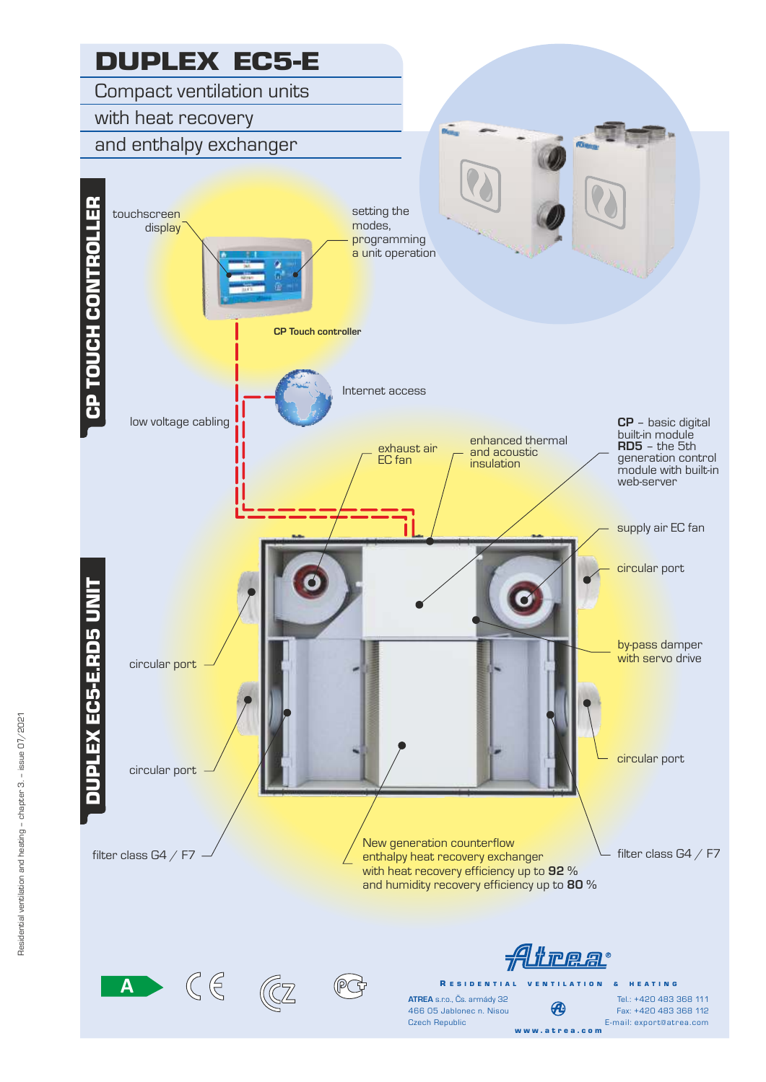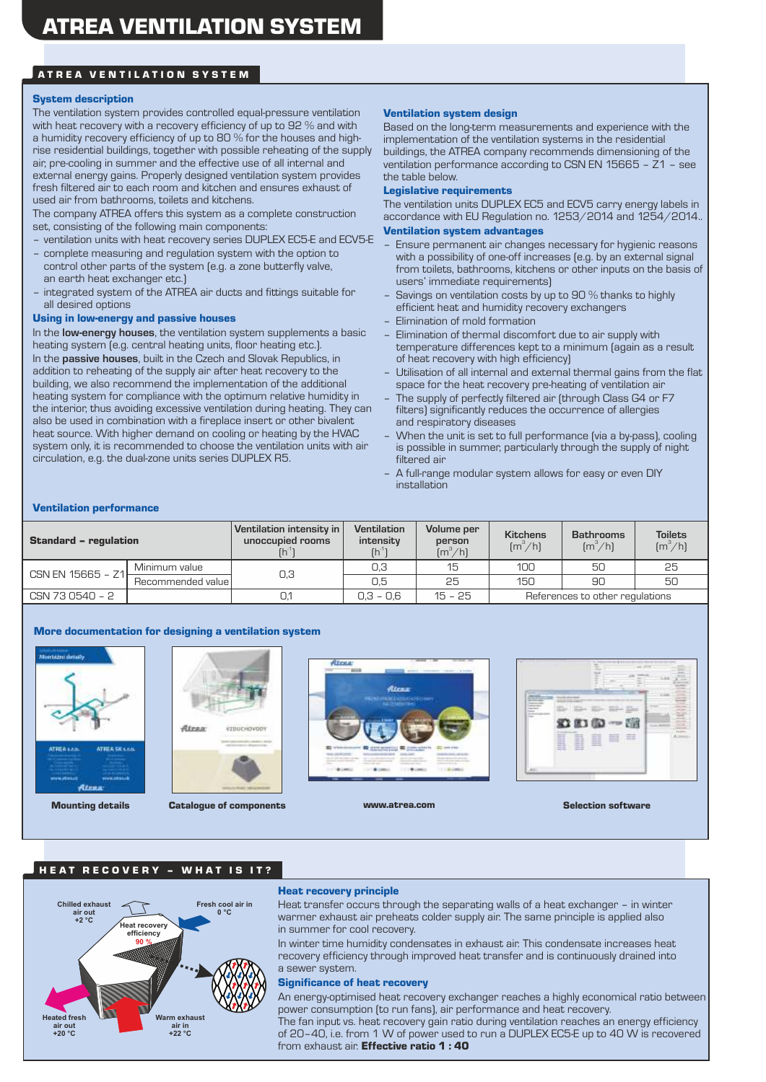# ATREA VENTILATION SYSTEM

#### System description

The ventilation system provides controlled equal-pressure ventilation with heat recovery with a recovery efficiency of up to 92 % and with a humidity recovery efficiency of up to 80 % for the houses and highrise residential buildings, together with possible reheating of the supply air, pre-cooling in summer and the effective use of all internal and external energy gains. Properly designed ventilation system provides fresh filtered air to each room and kitchen and ensures exhaust of used air from bathrooms, toilets and kitchens.

The company ATREA offers this system as a complete construction set, consisting of the following main components:

- ventilation units with heat recovery series DUPLEX EC5-E and ECV5-E
- complete measuring and regulation system with the option to control other parts of the system (e.g. a zone butterfly valve, an earth heat exchanger etc.)
- integrated system of the ATREA air ducts and fittings suitable for all desired options

#### Using in low-energy and passive houses

In the **low-energy houses**, the ventilation system supplements a basic heating system (e.g. central heating units, floor heating etc.). In the **passive houses**, built in the Czech and Slovak Republics, in addition to reheating of the supply air after heat recovery to the building, we also recommend the implementation of the additional heating system for compliance with the optimum relative humidity in the interior, thus avoiding excessive ventilation during heating. They can also be used in combination with a fireplace insert or other bivalent heat source. With higher demand on cooling or heating by the HVAC system only, it is recommended to choose the ventilation units with air circulation, e.g. the dual-zone units series DUPLEX R5.

#### Ventilation system design

Based on the long-term measurements and experience with the implementation of the ventilation systems in the residential buildings, the ATREA company recommends dimensioning of the ventilation performance according to CSN EN 15665 – Z1 – see the table below.

#### Legislative requirements

The ventilation units DUPLEX EC5 and ECV5 carry energy labels in accordance with EU Regulation no. 1253/2014 and 1254/2014.. Ventilation system advantages

- Ensure permanent air changes necessary for hygienic reasons with a possibility of one-off increases (e.g. by an external signal from toilets, bathrooms, kitchens or other inputs on the basis of users' immediate requirements)
- Savings on ventilation costs by up to 90 % thanks to highly efficient heat and humidity recovery exchangers
- Elimination of mold formation
- Elimination of thermal discomfort due to air supply with temperature differences kept to a minimum (again as a result of heat recovery with high efficiency)
- Utilisation of all internal and external thermal gains from the flat space for the heat recovery pre-heating of ventilation air
- The supply of perfectly filtered air (through Class G4 or F7 filters) significantly reduces the occurrence of allergies and respiratory diseases
- When the unit is set to full performance (via a by-pass), cooling is possible in summer, particularly through the supply of night filtered air
- A full-range modular system allows for easy or even DIY installation

#### Ventilation performance

| <b>Standard - regulation</b> |                   | Ventilation intensity in<br>unoccupied rooms | <b>Ventilation</b><br>intensity<br>$(h^{\prime})$ | Volume per<br>person<br>$\left[\frac{m^3}{h}\right]$ | <b>Kitchens</b><br>$\left[\frac{m^3}{h}\right]$ | <b>Bathrooms</b><br>$\left[\frac{m^3}{h}\right]$ | <b>Toilets</b><br>$\left[\frac{m^3}{h}\right]$ |
|------------------------------|-------------------|----------------------------------------------|---------------------------------------------------|------------------------------------------------------|-------------------------------------------------|--------------------------------------------------|------------------------------------------------|
| CSN EN $15665 - Z1$          | Minimum value     | 0,3                                          | 0,3                                               | 15                                                   | 100                                             | 50                                               | 25                                             |
|                              | Recommended value |                                              | 0.5                                               | 25                                                   | 150                                             | 90                                               | 50                                             |
| CSN 73 0540 - 2              |                   | 0.1                                          | $0.3 - 0.6$                                       | $15 - 25$                                            |                                                 | References to other regulations                  |                                                |

#### More documentation for designing a ventilation system





Mounting details Catalogue of components www.atrea.com Selection software Selection software





#### HEAT RECOVERY - WHAT IS IT?



### Heat recovery principle

Heat transfer occurs through the separating walls of a heat exchanger – in winter warmer exhaust air preheats colder supply air. The same principle is applied also in summer for cool recovery.

In winter time humidity condensates in exhaust air. This condensate increases heat recovery efficiency through improved heat transfer and is continuously drained into a sewer system.

#### Significance of heat recovery

An energy-optimised heat recovery exchanger reaches a highly economical ratio between power consumption (to run fans), air performance and heat recovery.<br>Warm exhaust<br>National species of the fanciscal recovery. The fancisc best recovery. The fancisc process of the species of the

The fan input vs. heat recovery gain ratio during ventilation reaches an energy efficiency of 20–40, i.e. from 1 W of power used to run a DUPLEX EC5-E up to 40 W is recovered from exhaust air. **Effective ratio 1 : 40**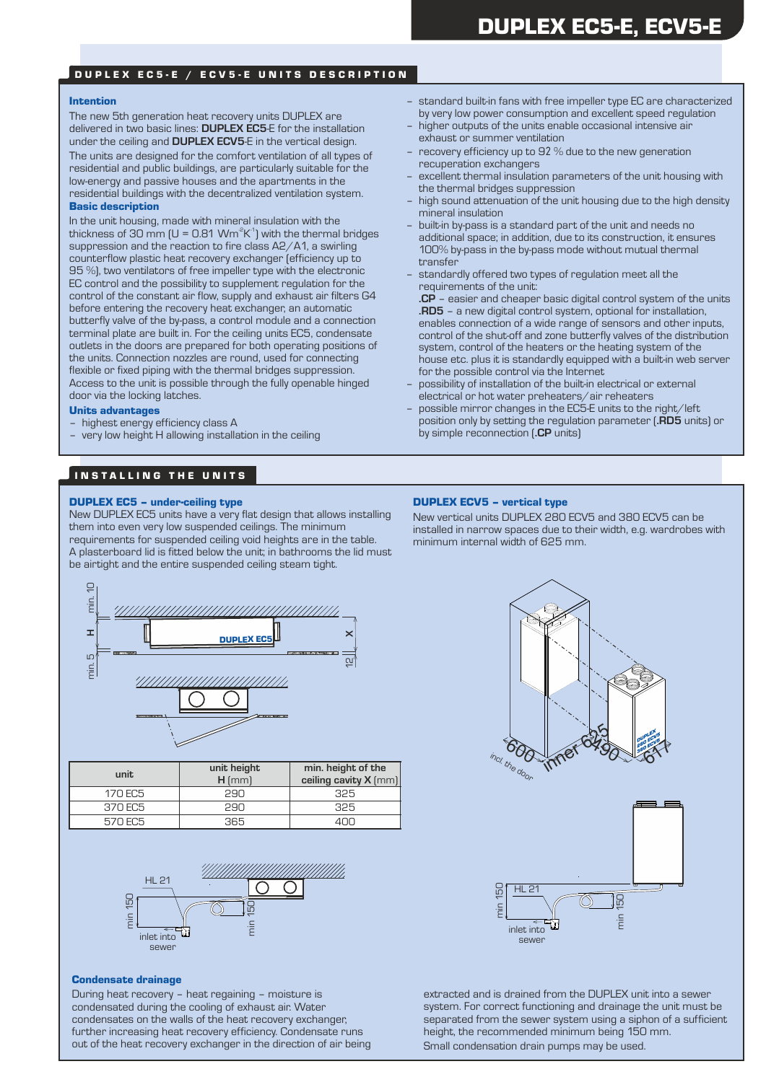# DUPLEX EC5-E / ECV5-E UNITS DESCRIPTION

#### Intention

The new 5th generation heat recovery units DUPLEX are delivered in two basic lines: **DUPLEX EC5**-E for the installation under the ceiling and **DUPLEX ECV5**-E in the vertical design. The units are designed for the comfort ventilation of all types of residential and public buildings, are particularly suitable for the low-energy and passive houses and the apartments in the residential buildings with the decentralized ventilation system. Basic description

In the unit housing, made with mineral insulation with the thickness of 30 mm (U = 0.81 Wm<sup>2</sup>K<sup>-1</sup>) with the thermal bridges suppression and the reaction to fire class A2/A1, a swirling counterflow plastic heat recovery exchanger (efficiency up to 95 %), two ventilators of free impeller type with the electronic EC control and the possibility to supplement regulation for the control of the constant air flow, supply and exhaust air filters G4 before entering the recovery heat exchanger, an automatic butterfly valve of the by-pass, a control module and a connection terminal plate are built in. For the ceiling units EC5, condensate outlets in the doors are prepared for both operating positions of the units. Connection nozzles are round, used for connecting flexible or fixed piping with the thermal bridges suppression. Access to the unit is possible through the fully openable hinged door via the locking latches.

#### Units advantages

- highest energy efficiency class A
- very low height H allowing installation in the ceiling

# IN STALLING THE UNITS

## DUPLEX EC5 – under-ceiling type

New DUPLEX EC5 units have a very flat design that allows installing them into even very low suspended ceilings. The minimum requirements for suspended ceiling void heights are in the table. A plasterboard lid is fitted below the unit; in bathrooms the lid must be airtight and the entire suspended ceiling steam tight.



- higher outputs of the units enable occasional intensive air exhaust or summer ventilation
- recovery efficiency up to 92 % due to the new generation recuperation exchangers
- excellent thermal insulation parameters of the unit housing with the thermal bridges suppression
- high sound attenuation of the unit housing due to the high density mineral insulation
- built-in by-pass is a standard part of the unit and needs no additional space; in addition, due to its construction, it ensures 100% by-pass in the by-pass mode without mutual thermal transfer
- standardly offered two types of regulation meet all the requirements of the unit:

**.CP** – easier and cheaper basic digital control system of the units **.RD5** – a new digital control system, optional for installation, enables connection of a wide range of sensors and other inputs, control of the shut-off and zone butterfly valves of the distribution system, control of the heaters or the heating system of the house etc. plus it is standardly equipped with a built-in web server for the possible control via the Internet

- possibility of installation of the built-in electrical or external electrical or hot water preheaters/air reheaters
- possible mirror changes in the EC5-E units to the right/left position only by setting the regulation parameter (**.RD5** units) or by simple reconnection (**.CP** units)

# DUPLEX ECV5 – vertical type

New vertical units DUPLEX 280 ECV5 and 380 ECV5 can be installed in narrow spaces due to their width, e.g. wardrobes with minimum internal width of 625 mm.



| unit    | unit height<br>$H$ [mm] | min. height of the<br>ceiling cavity X (mm) |
|---------|-------------------------|---------------------------------------------|
| 170 EC5 | 290                     | 325                                         |
| 370 EC5 | 2.90                    | 325                                         |
| 570 EC5 | 365                     |                                             |



#### Condensate drainage

During heat recovery – heat regaining – moisture is condensated during the cooling of exhaust air. Water condensates on the walls of the heat recovery exchanger, further increasing heat recovery efficiency. Condensate runs out of the heat recovery exchanger in the direction of air being





extracted and is drained from the DUPLEX unit into a sewer system. For correct functioning and drainage the unit must be separated from the sewer system using a siphon of a sufficient height, the recommended minimum being 150 mm. Small condensation drain pumps may be used.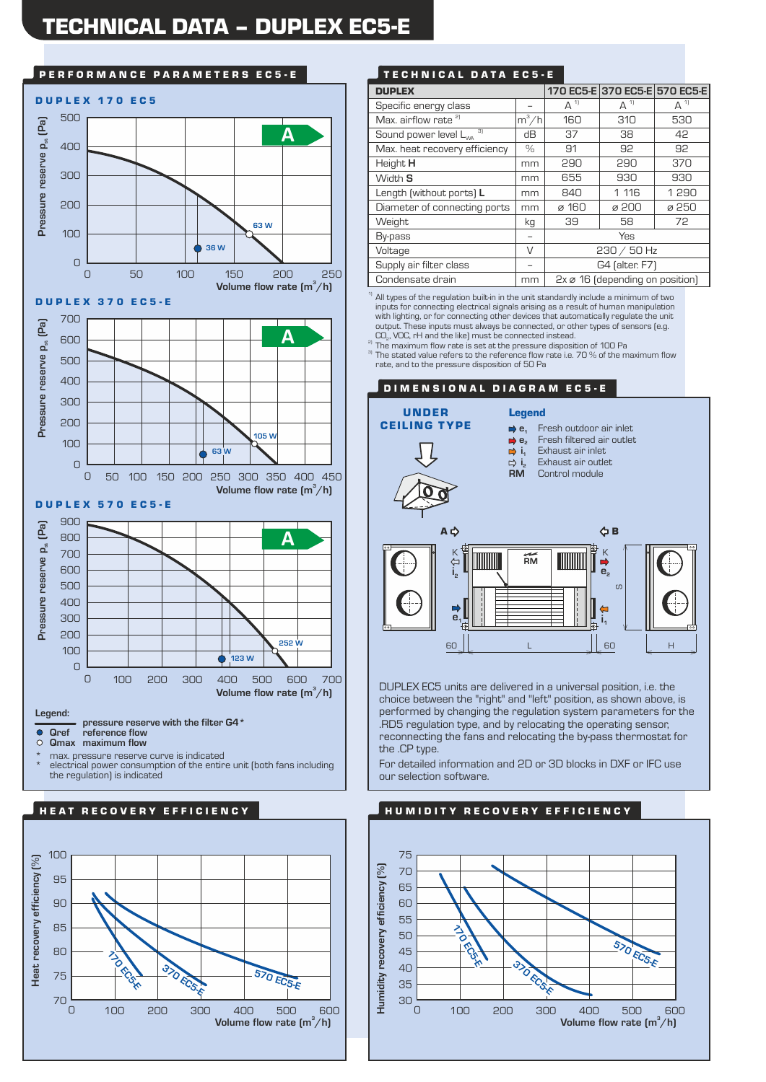# TECHNICAL DATA – DUPLEX EC5-E



\* max. pressure reserve curve is indicated \* electrical power consumption of the entire unit (both fans including the regulation) is indicated



# P E R F O R M A N C E PAR A METERS EC 5 - E T LO N TE CH N I CAL DATA EC 5 - E

| <b>DUPLEX</b>                           |         |                                             | 170 EC5-E 370 EC5-E 570 EC5-E |         |
|-----------------------------------------|---------|---------------------------------------------|-------------------------------|---------|
| Specific energy class                   |         | $A^{11}$                                    | $A^{1}$                       | $A^{1}$ |
| Max. airflow rate <sup>2)</sup>         | $m^3/h$ | 160                                         | 310                           | 530     |
| 31<br>Sound power level L <sub>wa</sub> | dВ      | 37                                          | 38                            | 42      |
| Max. heat recovery efficiency           | $\%$    | 91                                          | 92                            | 92      |
| Height H                                | mm      | 290                                         | 290                           | 370     |
| Width S                                 | mm      | 655                                         | 930                           | 930     |
| Length (without ports) L                | mm      | 840                                         | 1 116                         | 1 2 9 0 |
| Diameter of connecting ports            | mm      | ø 160                                       | ø 200                         | ø 250   |
| Weight                                  | kg      | 39                                          | 58                            | 72      |
| By-pass                                 |         | Yes                                         |                               |         |
| Voltage                                 | V       | $230 / 50$ Hz                               |                               |         |
| Supply air filter class                 |         | G4 (alter. F7)                              |                               |         |
| Condensate drain                        | mm      | $2x \varnothing$ 16 (depending on position) |                               |         |

<sup>1)</sup> All types of the regulation built-in in the unit standardly include a minimum of two inputs for connecting electrical signals arising as a result of human manipulation with lighting, or for connecting other devices that automatically regulate the unit output. These inputs must always be connected, or other types of sensors (e.g.<br>CO<sub>2</sub>, VOC, rH and the like) must be connected instead.

The maximum flow rate is set at the pressure disposition of 100 Pa

<sup>3)</sup> The stated value refers to the reference flow rate i.e. 70 % of the maximum flow rate, and to the pressure disposition of 50 Pa



DUPLEX EC5 units are delivered in a universal position, i.e. the choice between the "right" and "left" position, as shown above, is performed by changing the regulation system parameters for the .RD5 regulation type, and by relocating the operating sensor, reconnecting the fans and relocating the by-pass thermostat for the .CP type.

For detailed information and 2D or 3D blocks in DXF or IFC use our selection software.

# HUMIDITY RECOVERY EFFICIENCY

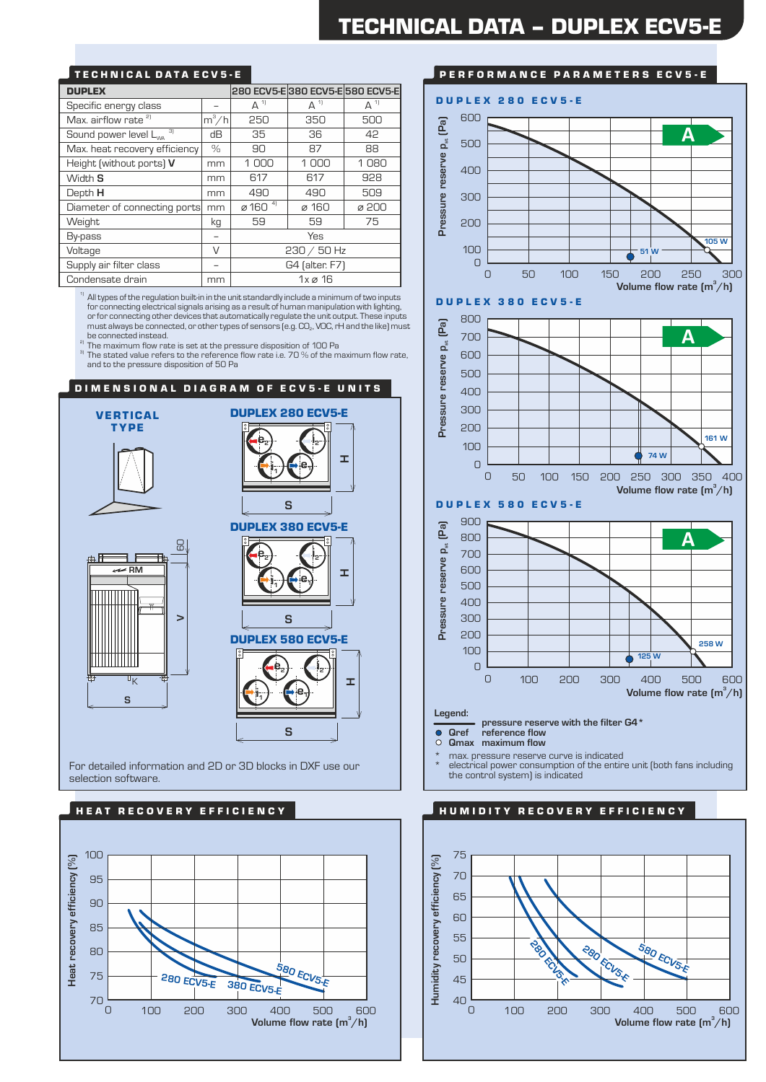# TECHNICAL DATA ECV5-E

| <b>DUPLEX</b>                           |         |                                 |                        | 280 ECV5-E 380 ECV5-E 580 ECV5-E |  |
|-----------------------------------------|---------|---------------------------------|------------------------|----------------------------------|--|
| Specific energy class                   |         | $\Delta$ <sup>1)</sup>          | $\Delta$ <sup>1)</sup> | $A^1$                            |  |
| Max. airflow rate <sup>2)</sup>         | $m^3/h$ | 250                             | 350                    | 500                              |  |
| 3)<br>Sound power level L <sub>wa</sub> | dВ      | 35                              | 36                     | 42                               |  |
| Max. heat recovery efficiency           | $\%$    | 90                              | 87                     | 88                               |  |
| Height (without ports) V                | mm      | 1000                            | 1000                   | 1080                             |  |
| Width S                                 | mm      | 617                             | 617                    | 928                              |  |
| Depth H                                 | mm      | 490                             | 490                    | 509                              |  |
| Diameter of connecting ports            | mm      | $\varnothing$ 160 $\frac{4}{1}$ | ø 160                  | ø 200                            |  |
| Weight                                  | kg      | 59                              | 59                     | 75                               |  |
| By-pass                                 |         | Yes                             |                        |                                  |  |
| V<br>Voltage                            |         | $230 / 50$ Hz                   |                        |                                  |  |
| Supply air filter class                 |         | G4 (alter. F7)                  |                        |                                  |  |
| Condensate drain                        | mm      | $1x \varnothing 16$             |                        |                                  |  |

 $1)$  All types of the regulation built-in in the unit standardly include a minimum of two inputs for connecting electrical signals arising as a result of human manipulation with lighting, or for connecting other devices that automatically regulate the unit output. These inputs must always be connected, or other types of sensors (e.g.  $CO<sub>2</sub>$ , VOC, rH and the like) must be connected instead.

<sup>2)</sup> The maximum flow rate is set at the pressure disposition of 100 Pa

 $3$  The stated value refers to the reference flow rate i.e. 70 % of the maximum flow rate, and to the pressure disposition of 50 Pa

# DIMENSIONAL DIAGRAM OF ECV5-E UNITS



For detailed information and 2D or 3D blocks in DXF use our selection software.





## PERFORMANCE PARAMETERS ECV5-E



\* electrical power consumption of the entire unit (both fans including the control system) is indicated

# HU M I D I T Y RECOVERY EFFICIENCY

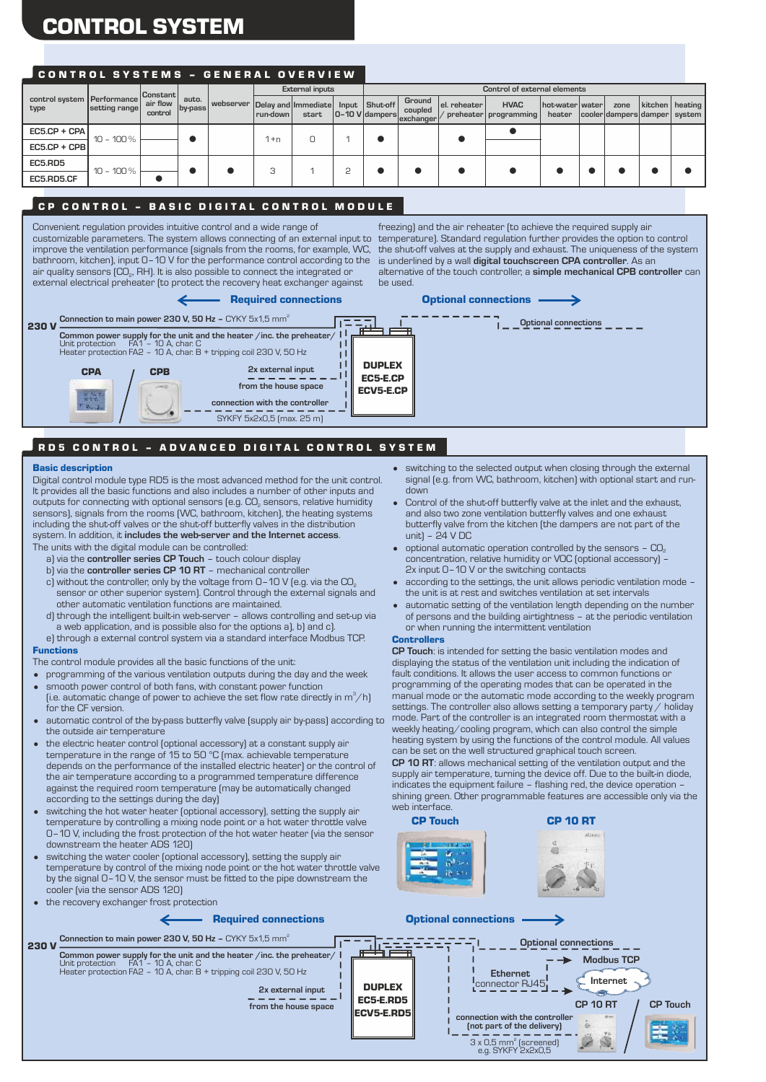# CONTROL SYSTEM

# CONTROL SYSTEMS - GENERAL OVERVIEW

|                                    |               | Constant            | auto.<br> by-pass |  |                                   |            |       |  |                  | <b>External inputs</b>                        |              |                                        |                               |                                        | Control of external elements |                   |  |  |  |
|------------------------------------|---------------|---------------------|-------------------|--|-----------------------------------|------------|-------|--|------------------|-----------------------------------------------|--------------|----------------------------------------|-------------------------------|----------------------------------------|------------------------------|-------------------|--|--|--|
| control system Performance<br>type | setting range | air flow<br>control |                   |  | webserver   Delay and   Immediate | l run-down | start |  | Input   Shut-off | Ground<br>coupled<br>0-10 V dampers exchanger | el. reheater | <b>HVAC</b><br>preheater   programming | hot-water   water  <br>heater | zone<br> cooler dampers damper  system |                              | kitchen   heating |  |  |  |
| $EC5.CP + CPA$                     | $10 - 100\%$  |                     |                   |  | l +n                              |            |       |  |                  |                                               |              |                                        |                               |                                        |                              |                   |  |  |  |
| $EC5.CP + CPB$                     |               |                     |                   |  |                                   |            |       |  |                  |                                               |              |                                        |                               |                                        |                              |                   |  |  |  |
| EC5.RD5                            | $10 - 100 %$  |                     |                   |  |                                   |            |       |  |                  |                                               |              |                                        |                               |                                        |                              |                   |  |  |  |
| EC5.RD5.CF                         |               |                     |                   |  |                                   |            | ⊏     |  |                  |                                               |              |                                        |                               |                                        |                              |                   |  |  |  |
|                                    |               |                     |                   |  |                                   |            |       |  |                  |                                               |              |                                        |                               |                                        |                              |                   |  |  |  |

# CP CONTROL - BASIC DIGITAL CONTROL MODULE

Convenient regulation provides intuitive control and a wide range of customizable parameters. The system allows connecting of an external input to improve the ventilation performance (signals from the rooms, for example, WC, the shut-off valves at the supply and exhaust. The uniqueness of the system bathroom, kitchen), input 0–10 V for the performance control according to the air quality sensors (CO<sub>2</sub>, RH). It is also possible to connect the integrated or external electrical preheater (to protect the recovery heat exchanger against

freezing) and the air reheater (to achieve the required supply air temperature). Standard regulation further provides the option to control is underlined by a wall **digital touchscreen CPA controller**. As an alternative of the touch controller, a **simple mechanical CPB controller** can be used.



# RD5 CONTROL - ADVANCED DIGITAL CONTROL SYSTEM

#### Basic description

The units with the digital module can be controlled: Digital control module type RD5 is the most advanced method for the unit control. It provides all the basic functions and also includes a number of other inputs and outputs for connecting with optional sensors (e.g.  $\mathsf{CO}_{\scriptscriptstyle{2}}$  sensors, relative humidity sensors), signals from the rooms (WC, bathroom, kitchen), the heating systems including the shut-off valves or the shut-off butterfly valves in the distribution system. In addition, it **includes the web-server and the Internet access**.

- 
- a) via the **controller series CP Touch** touch colour display b) via the **controller series CP 10 RT** – mechanical controller
- 
- c) without the controller, only by the voltage from  $O-10$  V (e.g. via the  $CO<sub>2</sub>$ sensor or other superior system). Control through the external signals and other automatic ventilation functions are maintained.
- d) through the intelligent built-in web-server allows controlling and set-up via a web application, and is possible also for the options a), b) and c).
- e) through a external control system via a standard interface Modbus TCP. Functions

The control module provides all the basic functions of the unit:

- programming of the various ventilation outputs during the day and the week
- smooth power control of both fans, with constant power function (i.e. automatic change of power to achieve the set flow rate directly in  $\mathsf{m}^3\!/ \mathsf{h}$ )
- automatic control of the by-pass butterfly valve (supply air by-pass) according to for the CF version.
- the outside air temperature • the electric heater control (optional accessory) at a constant supply air
- temperature in the range of 15 to 50 °C (max. achievable temperature depends on the performance of the installed electric heater) or the control of the air temperature according to a programmed temperature difference against the required room temperature (may be automatically changed according to the settings during the day)
- switching the hot water heater (optional accessory), setting the supply air temperature by controlling a mixing node point or a hot water throttle valve 0–10 V, including the frost protection of the hot water heater (via the sensor downstream the heater ADS 120)
- switching the water cooler (optional accessory), setting the supply air temperature by control of the mixing node point or the hot water throttle valve by the signal 0–10 V, the sensor must be fitted to the pipe downstream the cooler (via the sensor ADS 120) • the recovery exchanger frost protection

- switching to the selected output when closing through the external signal (e.g. from WC, bathroom, kitchen) with optional start and rundown
- Control of the shut-off butterfly valve at the inlet and the exhaust, and also two zone ventilation butterfly valves and one exhaust butterfly valve from the kitchen (the dampers are not part of the unit) – 24 V DC
- optional automatic operation controlled by the sensors  $CO<sub>2</sub>$ concentration, relative humidity or VOC (optional accessory) – 2x input 0–10 V or the switching contacts
- according to the settings, the unit allows periodic ventilation mode the unit is at rest and switches ventilation at set intervals
- automatic setting of the ventilation length depending on the number of persons and the building airtightness – at the periodic ventilation or when running the intermittent ventilation

#### **Controllers**

**CP Touch**: is intended for setting the basic ventilation modes and displaying the status of the ventilation unit including the indication of fault conditions. It allows the user access to common functions or programming of the operating modes that can be operated in the manual mode or the automatic mode according to the weekly program settings. The controller also allows setting a temporary party / holiday mode. Part of the controller is an integrated room thermostat with a weekly heating/cooling program, which can also control the simple heating system by using the functions of the control module. All values can be set on the well structured graphical touch screen. **CP 10 RT**: allows mechanical setting of the ventilation output and the supply air temperature, turning the device off. Due to the built-in diode, indicates the equipment failure – flashing red, the device operation –

shining green. Other programmable features are accessible only via the web interface CP Touch CP 10 RT



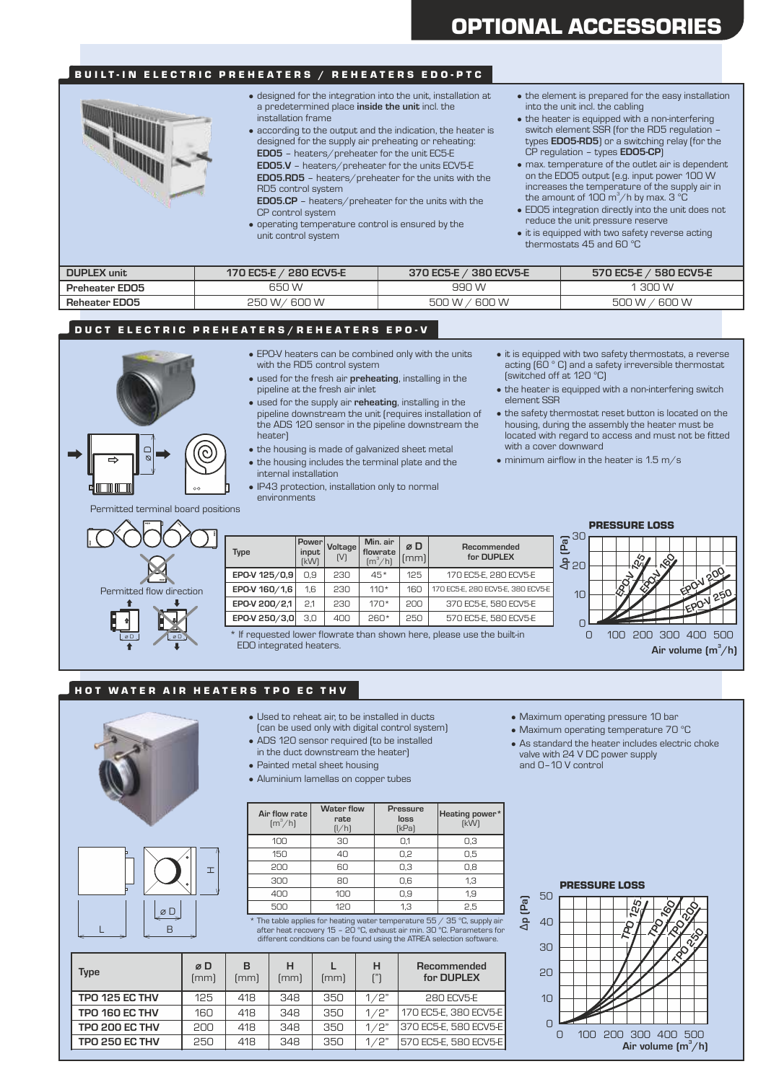# BUILT-IN ELECTRIC PREHEATERS / REHEATERS EDO-PTC



- designed for the integration into the unit, installation at a predetermined place **inside the unit** incl. the installation frame
- according to the output and the indication, the heater is designed for the supply air preheating or reheating: **EDO5** – heaters/preheater for the unit EC5-E
- **EDO5.V** heaters/preheater for the units ECV5-E **EDO5.RD5** – heaters/preheater for the units with the RD5 control system
- **EDO5.CP** heaters/preheater for the units with the CP control system
- operating temperature control is ensured by the unit control system
- the element is prepared for the easy installation into the unit incl. the cabling
- the heater is equipped with a non-interfering switch element SSR (for the RD5 regulation – types **EDO5-RD5**) or a switching relay (for the CP regulation – types **EDO5-CP**)
- max. temperature of the outlet air is dependent on the EDO5 output (e.g. input power 100 W increases the temperature of the supply air in the amount of 100 m $^3$ /h by max. 3  $^{\circ}$ C
- EDO5 integration directly into the unit does not
- it is equipped with two safety reverse acting thermostats 45 and 60 °C

| <b>DUPLEX</b> unit | 170 EC5-E $/$ 280 ECV5-E    | 370 EC5-E / 380 ECV5-E  | 570 EC5-E / 580 ECV5-E |
|--------------------|-----------------------------|-------------------------|------------------------|
| Preheater EDO5     | 650 W                       | 990 W                   | 300 W                  |
| Reheater EDO5      | $^{\prime}$ 600 W<br>250 W/ | 600 W<br>500 W $\prime$ | 600 W<br>500 W         |

## DUCT ELECTRIC PREHEATERS/REHEATERS EPO-V

- EPO-V heaters can be combined only with the units with the RD5 control system
- used for the fresh air **preheating**, installing in the
- used for the supply air **reheating**, installing in the pipeline downstream the unit (requires installation of the ADS 120 sensor in the pipeline downstream the heater)
- the housing is made of galvanized sheet metal
- the housing includes the terminal plate and the
- internal installation
- IP43 protection, installation only to normal environments
- it is equipped with two safety thermostats, a reverse acting (60 ° C) and a safety irreversible thermostat (switched off at 120 °C)
- the heater is equipped with a non-interfering switch element SSR
- the safety thermostat reset button is located on the housing, during the assembly the heater must be located with regard to access and must not be fitted
- $\bullet$  minimum airflow in the heater is 1.5 m/s

Permitted terminal board positions

 $\alpha$ 



| <b>Type</b>   | <b>Power</b><br>input<br>[kW] | Voltage<br>[V] | Min. air<br>flowrate<br>$\rm [m^3/h]$ | øD<br>(mm) | Recommended<br>for DUPLEX         |
|---------------|-------------------------------|----------------|---------------------------------------|------------|-----------------------------------|
| EPO-V 125/0,9 | 0.9                           | 230            | $45*$                                 | 125        | 170 EC5-E, 280 ECV5-E             |
| EPO-V 160/1,6 | 1.6                           | 230            | $110*$                                | 160        | 170 EC5-E, 280 ECV5-E, 380 ECV5-E |
| EPO-V 200/2,1 | 2.1                           | 230            | $170*$                                | 200        | 370 EC5-E, 580 ECV5-E             |
| EPO-V 250/3,0 | 3.0                           | 400            | $260*$                                | 250        | 570 EC5-E, 580 ECV5-E             |

If requested lower flowrate than shown here, please use the built-in EDO integrated heaters.

PRESSURE LOSS



#### HOT WATER AIR HEATERS TPO EC THV

H

D

L B

- Used to reheat air, to be installed in ducts (can be used only with digital control system)
	- ADS 120 sensor required (to be installed
	- in the duct downstream the heater)
	- Painted metal sheet housing
	- Aluminium lamellas on copper tubes

| Air flow rate<br>$\left[\frac{m^3}{h}\right]$ | <b>Water flow</b><br>rate<br>[l/h] | <b>Pressure</b><br>loss<br>[kPa] | Heating power*<br>[kW] |
|-----------------------------------------------|------------------------------------|----------------------------------|------------------------|
| 100                                           | 30                                 | O,1                              | 0,3                    |
| 150                                           | 40                                 | 0,2                              | 0,5                    |
| 200                                           | 60                                 | 0,3                              | 0,8                    |
| 300                                           | 80                                 | 0,6                              | 1,3                    |
| 400                                           | 100                                | 0,9                              | 1,9                    |
| 500                                           | 120                                | 1,3                              | 2,5                    |

500 120 1,3 2,5 **a.**<br>
\* The table applies for heating water temperature 55 / 35 °C, supply air<br>
after heat recovery 15 - 20 °C, exhaust air min. 30 °C. Parameters for  $\overrightarrow{A}$  40<br>
different conditions can be found using t

| Type                  | øD<br>[mm] | в<br>[mm] | н<br>(mm) | [mm] | н        | Recommended<br>for DUPLEX |
|-----------------------|------------|-----------|-----------|------|----------|---------------------------|
| TPO 125 EC THV        | 125        | 418       | 348       | 350  | 1/2"     | 280 ECV5-E                |
| TPO 160 EC THV        | 160        | 418       | 348       | 350  | 1/2"     | 170 EC5-E, 380 ECV5-E     |
| <b>TPO 200 EC THV</b> | 200        | 418       | 348       | 350  | 1/2"     | 1370 EC5-E. 580 ECV5-E    |
| <b>TPO 250 EC THV</b> | 250        | 418       | 348       | 350  | 1 $/2$ " | 570 EC5-E, 580 ECV5-E     |

- Maximum operating pressure 10 bar
- Maximum operating temperature 70 °C
- As standard the heater includes electric choke valve with 24 V DC power supply and 0–10 V control